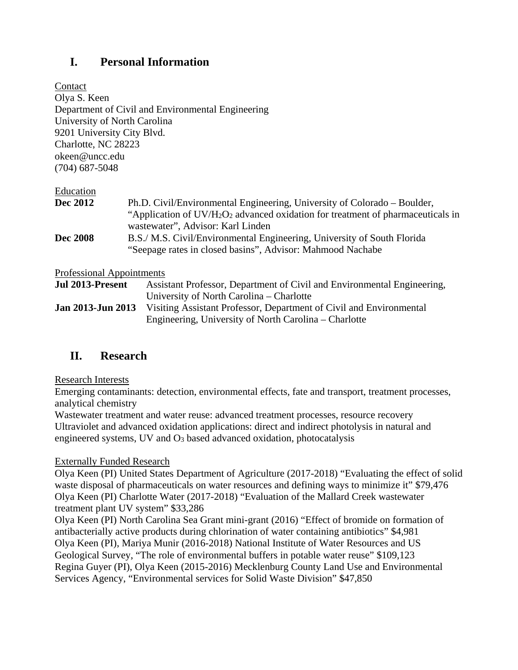# **I. Personal Information**

Contact Olya S. Keen Department of Civil and Environmental Engineering University of North Carolina 9201 University City Blvd. Charlotte, NC 28223 okeen@uncc.edu (704) 687-5048

#### Education

| <b>Dec 2012</b> | Ph.D. Civil/Environmental Engineering, University of Colorado – Boulder,                                |
|-----------------|---------------------------------------------------------------------------------------------------------|
|                 | "Application of UV/H <sub>2</sub> O <sub>2</sub> advanced oxidation for treatment of pharmaceuticals in |
|                 | wastewater", Advisor: Karl Linden                                                                       |
| <b>Dec 2008</b> | B.S./ M.S. Civil/Environmental Engineering, University of South Florida                                 |
|                 | "Seepage rates in closed basins", Advisor: Mahmood Nachabe                                              |
|                 |                                                                                                         |

Professional Appointments

| Jul 2013-Present         | Assistant Professor, Department of Civil and Environmental Engineering, |
|--------------------------|-------------------------------------------------------------------------|
|                          | University of North Carolina – Charlotte                                |
| <b>Jan 2013-Jun 2013</b> | Visiting Assistant Professor, Department of Civil and Environmental     |
|                          | Engineering, University of North Carolina – Charlotte                   |

# **II. Research**

#### Research Interests

Emerging contaminants: detection, environmental effects, fate and transport, treatment processes, analytical chemistry

Wastewater treatment and water reuse: advanced treatment processes, resource recovery Ultraviolet and advanced oxidation applications: direct and indirect photolysis in natural and engineered systems, UV and O3 based advanced oxidation, photocatalysis

### Externally Funded Research

Olya Keen (PI) United States Department of Agriculture (2017-2018) "Evaluating the effect of solid waste disposal of pharmaceuticals on water resources and defining ways to minimize it" \$79,476 Olya Keen (PI) Charlotte Water (2017-2018) "Evaluation of the Mallard Creek wastewater treatment plant UV system" \$33,286

Olya Keen (PI) North Carolina Sea Grant mini-grant (2016) "Effect of bromide on formation of antibacterially active products during chlorination of water containing antibiotics" \$4,981 Olya Keen (PI), Mariya Munir (2016-2018) National Institute of Water Resources and US Geological Survey, "The role of environmental buffers in potable water reuse" \$109,123 Regina Guyer (PI), Olya Keen (2015-2016) Mecklenburg County Land Use and Environmental Services Agency, "Environmental services for Solid Waste Division" \$47,850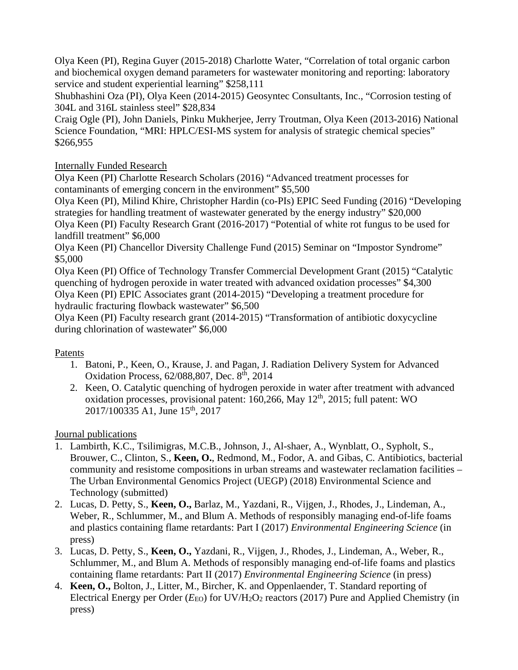Olya Keen (PI), Regina Guyer (2015-2018) Charlotte Water, "Correlation of total organic carbon and biochemical oxygen demand parameters for wastewater monitoring and reporting: laboratory service and student experiential learning" \$258,111

Shubhashini Oza (PI), Olya Keen (2014-2015) Geosyntec Consultants, Inc., "Corrosion testing of 304L and 316L stainless steel" \$28,834

Craig Ogle (PI), John Daniels, Pinku Mukherjee, Jerry Troutman, Olya Keen (2013-2016) National Science Foundation, "MRI: HPLC/ESI-MS system for analysis of strategic chemical species" \$266,955

# Internally Funded Research

Olya Keen (PI) Charlotte Research Scholars (2016) "Advanced treatment processes for contaminants of emerging concern in the environment" \$5,500

Olya Keen (PI), Milind Khire, Christopher Hardin (co-PIs) EPIC Seed Funding (2016) "Developing strategies for handling treatment of wastewater generated by the energy industry" \$20,000 Olya Keen (PI) Faculty Research Grant (2016-2017) "Potential of white rot fungus to be used for landfill treatment" \$6,000

Olya Keen (PI) Chancellor Diversity Challenge Fund (2015) Seminar on "Impostor Syndrome" \$5,000

Olya Keen (PI) Office of Technology Transfer Commercial Development Grant (2015) "Catalytic quenching of hydrogen peroxide in water treated with advanced oxidation processes" \$4,300 Olya Keen (PI) EPIC Associates grant (2014-2015) "Developing a treatment procedure for hydraulic fracturing flowback wastewater" \$6,500

Olya Keen (PI) Faculty research grant (2014-2015) "Transformation of antibiotic doxycycline during chlorination of wastewater" \$6,000

### Patents

- 1. Batoni, P., Keen, O., Krause, J. and Pagan, J. Radiation Delivery System for Advanced Oxidation Process, 62/088,807, Dec. 8<sup>th</sup>, 2014
- 2. Keen, O. Catalytic quenching of hydrogen peroxide in water after treatment with advanced oxidation processes, provisional patent:  $160,266$ , May  $12<sup>th</sup>$ ,  $2015$ ; full patent: WO 2017/100335 A1, June 15<sup>th</sup>, 2017

# Journal publications

- 1. Lambirth, K.C., Tsilimigras, M.C.B., Johnson, J., Al-shaer, A., Wynblatt, O., Sypholt, S., Brouwer, C., Clinton, S., **Keen, O.**, Redmond, M., Fodor, A. and Gibas, C. Antibiotics, bacterial community and resistome compositions in urban streams and wastewater reclamation facilities – The Urban Environmental Genomics Project (UEGP) (2018) Environmental Science and Technology (submitted)
- 2. Lucas, D. Petty, S., **Keen, O.,** Barlaz, M., Yazdani, R., Vijgen, J., Rhodes, J., Lindeman, A., Weber, R., Schlummer, M., and Blum A. Methods of responsibly managing end-of-life foams and plastics containing flame retardants: Part I (2017) *Environmental Engineering Science* (in press)
- 3. Lucas, D. Petty, S., **Keen, O.,** Yazdani, R., Vijgen, J., Rhodes, J., Lindeman, A., Weber, R., Schlummer, M., and Blum A. Methods of responsibly managing end-of-life foams and plastics containing flame retardants: Part II (2017) *Environmental Engineering Science* (in press)
- 4. **Keen, O.,** Bolton, J., Litter, M., Bircher, K. and Oppenlaender, T. Standard reporting of Electrical Energy per Order (*E*<sub>EO</sub>) for UV/H<sub>2</sub>O<sub>2</sub> reactors (2017) Pure and Applied Chemistry (in press)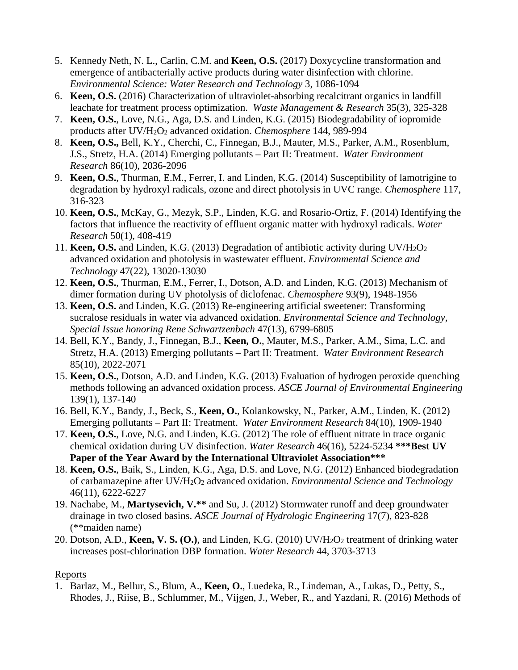- 5. Kennedy Neth, N. L., Carlin, C.M. and **Keen, O.S.** (2017) Doxycycline transformation and emergence of antibacterially active products during water disinfection with chlorine. *Environmental Science: Water Research and Technology* 3, 1086-1094
- 6. **Keen, O.S.** (2016) Characterization of ultraviolet-absorbing recalcitrant organics in landfill leachate for treatment process optimization. *Waste Management & Research* 35(3), 325-328
- 7. **Keen, O.S.**, Love, N.G., Aga, D.S. and Linden, K.G. (2015) Biodegradability of iopromide products after UV/H2O2 advanced oxidation. *Chemosphere* 144, 989-994
- 8. **Keen, O.S.,** Bell, K.Y., Cherchi, C., Finnegan, B.J., Mauter, M.S., Parker, A.M., Rosenblum, J.S., Stretz, H.A. (2014) Emerging pollutants – Part II: Treatment. *Water Environment Research* 86(10), 2036-2096
- 9. **Keen, O.S.**, Thurman, E.M., Ferrer, I. and Linden, K.G. (2014) Susceptibility of lamotrigine to degradation by hydroxyl radicals, ozone and direct photolysis in UVC range. *Chemosphere* 117, 316-323
- 10. **Keen, O.S.**, McKay, G., Mezyk, S.P., Linden, K.G. and Rosario-Ortiz, F. (2014) Identifying the factors that influence the reactivity of effluent organic matter with hydroxyl radicals. *Water Research* 50(1), 408-419
- 11. **Keen, O.S.** and Linden, K.G. (2013) Degradation of antibiotic activity during UV/H2O2 advanced oxidation and photolysis in wastewater effluent. *Environmental Science and Technology* 47(22), 13020-13030
- 12. **Keen, O.S.**, Thurman, E.M., Ferrer, I., Dotson, A.D. and Linden, K.G. (2013) Mechanism of dimer formation during UV photolysis of diclofenac. *Chemosphere* 93(9), 1948-1956
- 13. **Keen, O.S.** and Linden, K.G. (2013) Re-engineering artificial sweetener: Transforming sucralose residuals in water via advanced oxidation. *Environmental Science and Technology, Special Issue honoring Rene Schwartzenbach* 47(13), 6799-6805
- 14. Bell, K.Y., Bandy, J., Finnegan, B.J., **Keen, O.**, Mauter, M.S., Parker, A.M., Sima, L.C. and Stretz, H.A. (2013) Emerging pollutants – Part II: Treatment. *Water Environment Research* 85(10), 2022-2071
- 15. **Keen, O.S.**, Dotson, A.D. and Linden, K.G. (2013) Evaluation of hydrogen peroxide quenching methods following an advanced oxidation process. *ASCE Journal of Environmental Engineering* 139(1), 137-140
- 16. Bell, K.Y., Bandy, J., Beck, S., **Keen, O.**, Kolankowsky, N., Parker, A.M., Linden, K. (2012) Emerging pollutants – Part II: Treatment. *Water Environment Research* 84(10), 1909-1940
- 17. **Keen, O.S.**, Love, N.G. and Linden, K.G. (2012) The role of effluent nitrate in trace organic chemical oxidation during UV disinfection. *Water Research* 46(16), 5224-5234 **\*\*\*Best UV Paper of the Year Award by the International Ultraviolet Association\*\*\***
- 18. **Keen, O.S.**, Baik, S., Linden, K.G., Aga, D.S. and Love, N.G. (2012) Enhanced biodegradation of carbamazepine after UV/H2O2 advanced oxidation. *Environmental Science and Technology* 46(11), 6222-6227
- 19. Nachabe, M., **Martysevich, V.\*\*** and Su, J. (2012) Stormwater runoff and deep groundwater drainage in two closed basins. *ASCE Journal of Hydrologic Engineering* 17(7), 823-828 (\*\*maiden name)
- 20. Dotson, A.D., **Keen, V. S. (O.)**, and Linden, K.G. (2010) UV/H2O2 treatment of drinking water increases post-chlorination DBP formation. *Water Research* 44, 3703-3713

### Reports

1. Barlaz, M., Bellur, S., Blum, A., **Keen, O.**, Luedeka, R., Lindeman, A., Lukas, D., Petty, S., Rhodes, J., Riise, B., Schlummer, M., Vijgen, J., Weber, R., and Yazdani, R. (2016) Methods of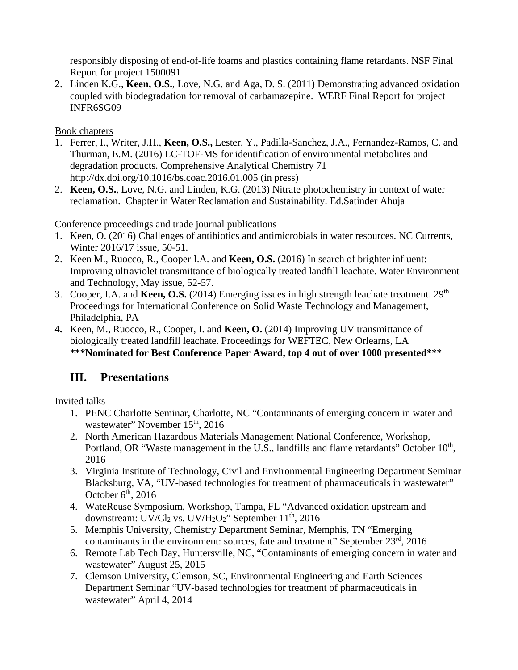responsibly disposing of end-of-life foams and plastics containing flame retardants. NSF Final Report for project 1500091

2. Linden K.G., **Keen, O.S.**, Love, N.G. and Aga, D. S. (2011) Demonstrating advanced oxidation coupled with biodegradation for removal of carbamazepine. WERF Final Report for project INFR6SG09

Book chapters

- 1. Ferrer, I., Writer, J.H., **Keen, O.S.,** Lester, Y., Padilla-Sanchez, J.A., Fernandez-Ramos, C. and Thurman, E.M. (2016) LC-TOF-MS for identification of environmental metabolites and degradation products. Comprehensive Analytical Chemistry 71 http://dx.doi.org/10.1016/bs.coac.2016.01.005 (in press)
- 2. **Keen, O.S.**, Love, N.G. and Linden, K.G. (2013) Nitrate photochemistry in context of water reclamation. Chapter in Water Reclamation and Sustainability. Ed.Satinder Ahuja

# Conference proceedings and trade journal publications

- 1. Keen, O. (2016) Challenges of antibiotics and antimicrobials in water resources. NC Currents, Winter 2016/17 issue, 50-51.
- 2. Keen M., Ruocco, R., Cooper I.A. and **Keen, O.S.** (2016) In search of brighter influent: Improving ultraviolet transmittance of biologically treated landfill leachate. Water Environment and Technology, May issue, 52-57.
- 3. Cooper, I.A. and **Keen, O.S.** (2014) Emerging issues in high strength leachate treatment. 29<sup>th</sup> Proceedings for International Conference on Solid Waste Technology and Management, Philadelphia, PA
- **4.** Keen, M., Ruocco, R., Cooper, I. and **Keen, O.** (2014) Improving UV transmittance of biologically treated landfill leachate. Proceedings for WEFTEC, New Orlearns, LA **\*\*\*Nominated for Best Conference Paper Award, top 4 out of over 1000 presented\*\*\***

# **III. Presentations**

Invited talks

- 1. PENC Charlotte Seminar, Charlotte, NC "Contaminants of emerging concern in water and wastewater" November 15<sup>th</sup>, 2016
- 2. North American Hazardous Materials Management National Conference, Workshop, Portland, OR "Waste management in the U.S., landfills and flame retardants" October 10<sup>th</sup>, 2016
- 3. Virginia Institute of Technology, Civil and Environmental Engineering Department Seminar Blacksburg, VA, "UV-based technologies for treatment of pharmaceuticals in wastewater" October  $6<sup>th</sup>$ , 2016
- 4. WateReuse Symposium, Workshop, Tampa, FL "Advanced oxidation upstream and downstream: UV/Cl<sub>2</sub> vs. UV/H<sub>2</sub>O<sub>2</sub>" September 11<sup>th</sup>, 2016
- 5. Memphis University, Chemistry Department Seminar, Memphis, TN "Emerging contaminants in the environment: sources, fate and treatment" September 23rd, 2016
- 6. Remote Lab Tech Day, Huntersville, NC, "Contaminants of emerging concern in water and wastewater" August 25, 2015
- 7. Clemson University, Clemson, SC, Environmental Engineering and Earth Sciences Department Seminar "UV-based technologies for treatment of pharmaceuticals in wastewater" April 4, 2014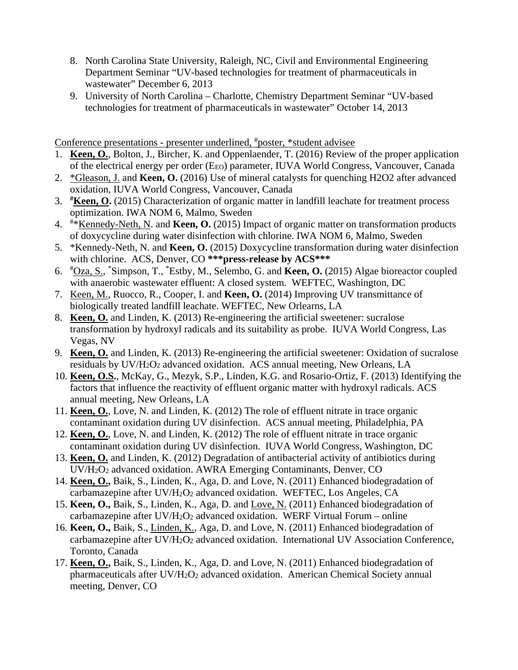- 8. North Carolina State University, Raleigh, NC, Civil and Environmental Engineering Department Seminar "UV-based technologies for treatment of pharmaceuticals in wastewater" December 6, 2013
- 9. University of North Carolina Charlotte, Chemistry Department Seminar "UV-based technologies for treatment of pharmaceuticals in wastewater" October 14, 2013

Conference presentations - presenter underlined, # poster, \*student advisee

- 1. **Keen, O.**, Bolton, J., Bircher, K. and Oppenlaender, T. (2016) Review of the proper application of the electrical energy per order (E<sub>EO</sub>) parameter, IUVA World Congress, Vancouver, Canada
- 2. \*Gleason, J. and **Keen, O.** (2016) Use of mineral catalysts for quenching H2O2 after advanced oxidation, IUVA World Congress, Vancouver, Canada
- 3. **# Keen, O.** (2015) Characterization of organic matter in landfill leachate for treatment process optimization. IWA NOM 6, Malmo, Sweden
- 4. # \*Kennedy-Neth, N. and **Keen, O.** (2015) Impact of organic matter on transformation products of doxycycline during water disinfection with chlorine. IWA NOM 6, Malmo, Sweden
- 5. \*Kennedy-Neth, N. and **Keen, O.** (2015) Doxycycline transformation during water disinfection with chlorine. ACS, Denver, CO **\*\*\*press-release by ACS\*\*\***
- 6. # Oza, S., \* Simpson, T., \* Estby, M., Selembo, G. and **Keen, O.** (2015) Algae bioreactor coupled with anaerobic wastewater effluent: A closed system. WEFTEC, Washington, DC
- 7. Keen, M., Ruocco, R., Cooper, I. and **Keen, O.** (2014) Improving UV transmittance of biologically treated landfill leachate. WEFTEC, New Orlearns, LA
- 8. **Keen, O.** and Linden, K. (2013) Re-engineering the artificial sweetener: sucralose transformation by hydroxyl radicals and its suitability as probe. IUVA World Congress, Las Vegas, NV
- 9. **Keen, O.** and Linden, K. (2013) Re-engineering the artificial sweetener: Oxidation of sucralose residuals by UV/H2O2 advanced oxidation. ACS annual meeting, New Orleans, LA
- 10. **Keen, O.S.**, McKay, G., Mezyk, S.P., Linden, K.G. and Rosario-Ortiz, F. (2013) Identifying the factors that influence the reactivity of effluent organic matter with hydroxyl radicals. ACS annual meeting, New Orleans, LA
- 11. **Keen, O.**, Love, N. and Linden, K. (2012) The role of effluent nitrate in trace organic contaminant oxidation during UV disinfection. ACS annual meeting, Philadelphia, PA
- 12. **Keen, O.**, Love, N. and Linden, K. (2012) The role of effluent nitrate in trace organic contaminant oxidation during UV disinfection. IUVA World Congress, Washington, DC
- 13. **Keen, O.** and Linden, K. (2012) Degradation of antibacterial activity of antibiotics during UV/H2O2 advanced oxidation. AWRA Emerging Contaminants, Denver, CO
- 14. **Keen, O.,** Baik, S., Linden, K., Aga, D. and Love, N. (2011) Enhanced biodegradation of carbamazepine after UV/H2O2 advanced oxidation. WEFTEC, Los Angeles, CA
- 15. **Keen, O.,** Baik, S., Linden, K., Aga, D. and Love, N. (2011) Enhanced biodegradation of carbamazepine after  $UV/H_2O_2$  advanced oxidation. WERF Virtual Forum – online
- 16. **Keen, O.,** Baik, S., Linden, K., Aga, D. and Love, N. (2011) Enhanced biodegradation of carbamazepine after UV/H2O2 advanced oxidation. International UV Association Conference, Toronto, Canada
- 17. **Keen, O.,** Baik, S., Linden, K., Aga, D. and Love, N. (2011) Enhanced biodegradation of pharmaceuticals after UV/H2O2 advanced oxidation. American Chemical Society annual meeting, Denver, CO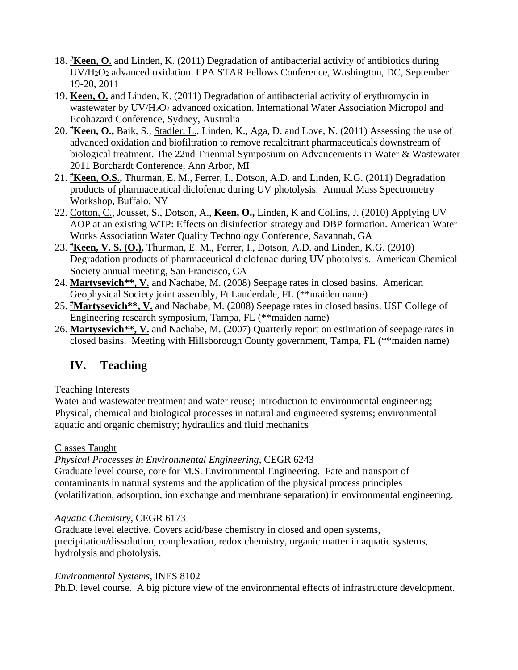- 18. **# Keen, O.** and Linden, K. (2011) Degradation of antibacterial activity of antibiotics during UV/H2O2 advanced oxidation. EPA STAR Fellows Conference, Washington, DC, September 19-20, 2011
- 19. **Keen, O.** and Linden, K. (2011) Degradation of antibacterial activity of erythromycin in wastewater by UV/H<sub>2</sub>O<sub>2</sub> advanced oxidation. International Water Association Micropol and Ecohazard Conference, Sydney, Australia
- 20. **# Keen, O.,** Baik, S., Stadler, L., Linden, K., Aga, D. and Love, N. (2011) Assessing the use of advanced oxidation and biofiltration to remove recalcitrant pharmaceuticals downstream of biological treatment. The 22nd Triennial Symposium on Advancements in Water & Wastewater 2011 Borchardt Conference, Ann Arbor, MI
- 21. **# Keen, O.S.,** Thurman, E. M., Ferrer, I., Dotson, A.D. and Linden, K.G. (2011) Degradation products of pharmaceutical diclofenac during UV photolysis. Annual Mass Spectrometry Workshop, Buffalo, NY
- 22. Cotton, C., Jousset, S., Dotson, A., **Keen, O.,** Linden, K and Collins, J. (2010) Applying UV AOP at an existing WTP: Effects on disinfection strategy and DBP formation. American Water Works Association Water Quality Technology Conference, Savannah, GA
- 23. **# Keen, V. S. (O.),** Thurman, E. M., Ferrer, I., Dotson, A.D. and Linden, K.G. (2010) Degradation products of pharmaceutical diclofenac during UV photolysis. American Chemical Society annual meeting, San Francisco, CA
- 24. **Martysevich\*\*, V.** and Nachabe, M. (2008) Seepage rates in closed basins. American Geophysical Society joint assembly, Ft.Lauderdale, FL (\*\*maiden name)
- 25. **#Martysevich\*\*, V.** and Nachabe, M. (2008) Seepage rates in closed basins. USF College of Engineering research symposium, Tampa, FL (\*\*maiden name)
- 26. **Martysevich\*\*, V.** and Nachabe, M. (2007) Quarterly report on estimation of seepage rates in closed basins. Meeting with Hillsborough County government, Tampa, FL (\*\*maiden name)

# **IV. Teaching**

# Teaching Interests

Water and wastewater treatment and water reuse; Introduction to environmental engineering; Physical, chemical and biological processes in natural and engineered systems; environmental aquatic and organic chemistry; hydraulics and fluid mechanics

# Classes Taught

*Physical Processes in Environmental Engineering*, CEGR 6243

Graduate level course, core for M.S. Environmental Engineering. Fate and transport of contaminants in natural systems and the application of the physical process principles (volatilization, adsorption, ion exchange and membrane separation) in environmental engineering.

# *Aquatic Chemistry*, CEGR 6173

Graduate level elective. Covers acid/base chemistry in closed and open systems, precipitation/dissolution, complexation, redox chemistry, organic matter in aquatic systems, hydrolysis and photolysis.

# *Environmental Systems*, INES 8102

Ph.D. level course. A big picture view of the environmental effects of infrastructure development.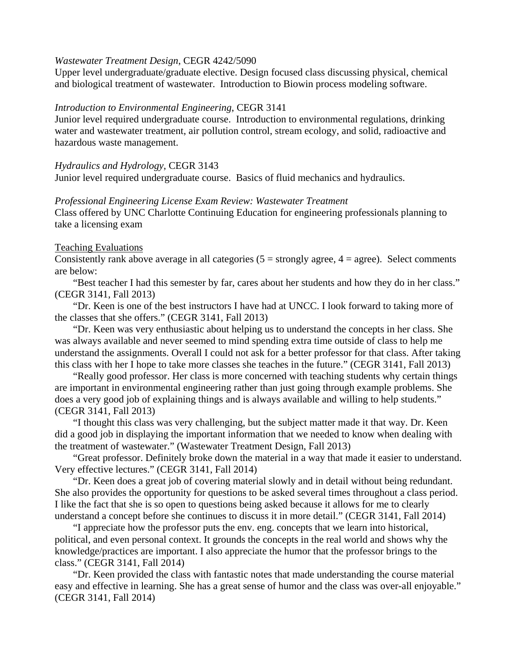#### *Wastewater Treatment Design*, CEGR 4242/5090

Upper level undergraduate/graduate elective. Design focused class discussing physical, chemical and biological treatment of wastewater. Introduction to Biowin process modeling software.

#### *Introduction to Environmental Engineering*, CEGR 3141

Junior level required undergraduate course. Introduction to environmental regulations, drinking water and wastewater treatment, air pollution control, stream ecology, and solid, radioactive and hazardous waste management.

#### *Hydraulics and Hydrology*, CEGR 3143 Junior level required undergraduate course. Basics of fluid mechanics and hydraulics.

#### *Professional Engineering License Exam Review: Wastewater Treatment*

Class offered by UNC Charlotte Continuing Education for engineering professionals planning to take a licensing exam

#### Teaching Evaluations

Consistently rank above average in all categories  $(5 =$  strongly agree,  $4 =$  agree). Select comments are below:

"Best teacher I had this semester by far, cares about her students and how they do in her class." (CEGR 3141, Fall 2013)

"Dr. Keen is one of the best instructors I have had at UNCC. I look forward to taking more of the classes that she offers." (CEGR 3141, Fall 2013)

"Dr. Keen was very enthusiastic about helping us to understand the concepts in her class. She was always available and never seemed to mind spending extra time outside of class to help me understand the assignments. Overall I could not ask for a better professor for that class. After taking this class with her I hope to take more classes she teaches in the future." (CEGR 3141, Fall 2013)

"Really good professor. Her class is more concerned with teaching students why certain things are important in environmental engineering rather than just going through example problems. She does a very good job of explaining things and is always available and willing to help students." (CEGR 3141, Fall 2013)

"I thought this class was very challenging, but the subject matter made it that way. Dr. Keen did a good job in displaying the important information that we needed to know when dealing with the treatment of wastewater." (Wastewater Treatment Design, Fall 2013)

"Great professor. Definitely broke down the material in a way that made it easier to understand. Very effective lectures." (CEGR 3141, Fall 2014)

"Dr. Keen does a great job of covering material slowly and in detail without being redundant. She also provides the opportunity for questions to be asked several times throughout a class period. I like the fact that she is so open to questions being asked because it allows for me to clearly understand a concept before she continues to discuss it in more detail." (CEGR 3141, Fall 2014)

"I appreciate how the professor puts the env. eng. concepts that we learn into historical, political, and even personal context. It grounds the concepts in the real world and shows why the knowledge/practices are important. I also appreciate the humor that the professor brings to the class." (CEGR 3141, Fall 2014)

"Dr. Keen provided the class with fantastic notes that made understanding the course material easy and effective in learning. She has a great sense of humor and the class was over-all enjoyable." (CEGR 3141, Fall 2014)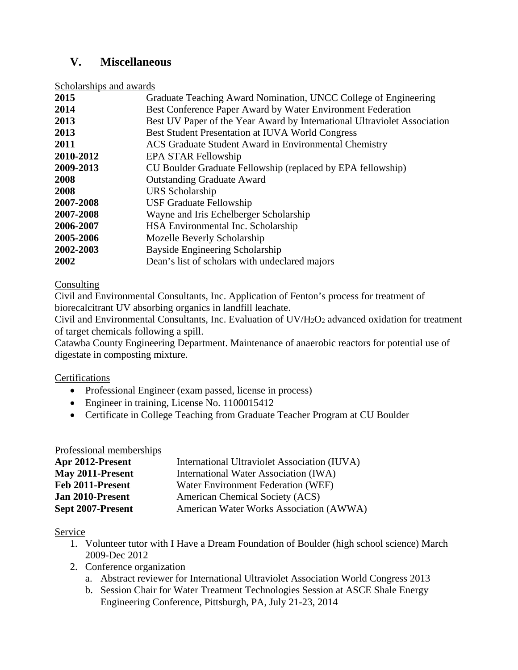# **V. Miscellaneous**

Scholarships and awards

| 2015      | Graduate Teaching Award Nomination, UNCC College of Engineering          |
|-----------|--------------------------------------------------------------------------|
| 2014      | Best Conference Paper Award by Water Environment Federation              |
| 2013      | Best UV Paper of the Year Award by International Ultraviolet Association |
| 2013      | Best Student Presentation at IUVA World Congress                         |
| 2011      | ACS Graduate Student Award in Environmental Chemistry                    |
| 2010-2012 | <b>EPA STAR Fellowship</b>                                               |
| 2009-2013 | CU Boulder Graduate Fellowship (replaced by EPA fellowship)              |
| 2008      | <b>Outstanding Graduate Award</b>                                        |
| 2008      | URS Scholarship                                                          |
| 2007-2008 | <b>USF Graduate Fellowship</b>                                           |
| 2007-2008 | Wayne and Iris Echelberger Scholarship                                   |
| 2006-2007 | HSA Environmental Inc. Scholarship                                       |
| 2005-2006 | Mozelle Beverly Scholarship                                              |
| 2002-2003 | Bayside Engineering Scholarship                                          |
| 2002      | Dean's list of scholars with undeclared majors                           |

#### **Consulting**

Civil and Environmental Consultants, Inc. Application of Fenton's process for treatment of biorecalcitrant UV absorbing organics in landfill leachate.

Civil and Environmental Consultants, Inc. Evaluation of UV/H2O2 advanced oxidation for treatment of target chemicals following a spill.

Catawba County Engineering Department. Maintenance of anaerobic reactors for potential use of digestate in composting mixture.

#### Certifications

- Professional Engineer (exam passed, license in process)
- Engineer in training, License No. 1100015412
- Certificate in College Teaching from Graduate Teacher Program at CU Boulder

#### Professional memberships

| Apr 2012-Present  | International Ultraviolet Association (IUVA) |
|-------------------|----------------------------------------------|
| May 2011-Present  | International Water Association (IWA)        |
| Feb 2011-Present  | Water Environment Federation (WEF)           |
| Jan 2010-Present  | American Chemical Society (ACS)              |
| Sept 2007-Present | American Water Works Association (AWWA)      |

#### Service

- 1. Volunteer tutor with I Have a Dream Foundation of Boulder (high school science) March 2009-Dec 2012
- 2. Conference organization
	- a. Abstract reviewer for International Ultraviolet Association World Congress 2013
	- b. Session Chair for Water Treatment Technologies Session at ASCE Shale Energy Engineering Conference, Pittsburgh, PA, July 21-23, 2014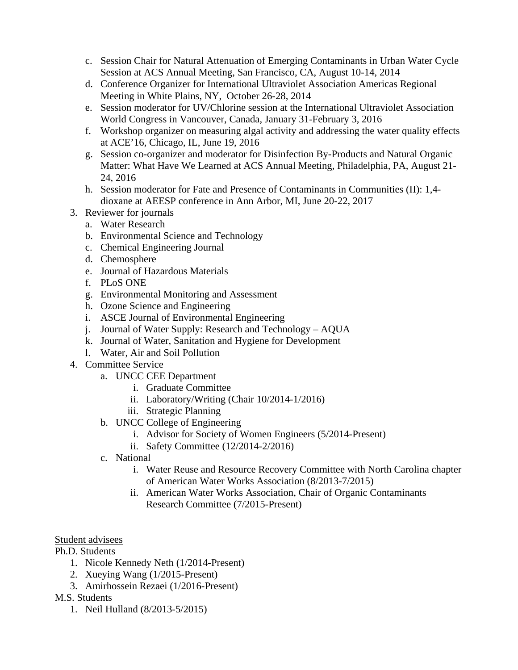- c. Session Chair for Natural Attenuation of Emerging Contaminants in Urban Water Cycle Session at ACS Annual Meeting, San Francisco, CA, August 10-14, 2014
- d. Conference Organizer for International Ultraviolet Association Americas Regional Meeting in White Plains, NY, October 26-28, 2014
- e. Session moderator for UV/Chlorine session at the International Ultraviolet Association World Congress in Vancouver, Canada, January 31-February 3, 2016
- f. Workshop organizer on measuring algal activity and addressing the water quality effects at ACE'16, Chicago, IL, June 19, 2016
- g. Session co-organizer and moderator for Disinfection By-Products and Natural Organic Matter: What Have We Learned at ACS Annual Meeting, Philadelphia, PA, August 21- 24, 2016
- h. Session moderator for Fate and Presence of Contaminants in Communities (II): 1,4 dioxane at AEESP conference in Ann Arbor, MI, June 20-22, 2017
- 3. Reviewer for journals
	- a. Water Research
	- b. Environmental Science and Technology
	- c. Chemical Engineering Journal
	- d. Chemosphere
	- e. Journal of Hazardous Materials
	- f. PLoS ONE
	- g. Environmental Monitoring and Assessment
	- h. Ozone Science and Engineering
	- i. ASCE Journal of Environmental Engineering
	- j. Journal of Water Supply: Research and Technology AQUA
	- k. Journal of Water, Sanitation and Hygiene for Development
	- l. Water, Air and Soil Pollution
- 4. Committee Service
	- a. UNCC CEE Department
		- i. Graduate Committee
		- ii. Laboratory/Writing (Chair 10/2014-1/2016)
		- iii. Strategic Planning
	- b. UNCC College of Engineering
		- i. Advisor for Society of Women Engineers (5/2014-Present)
		- ii. Safety Committee (12/2014-2/2016)
	- c. National
		- i. Water Reuse and Resource Recovery Committee with North Carolina chapter of American Water Works Association (8/2013-7/2015)
		- ii. American Water Works Association, Chair of Organic Contaminants Research Committee (7/2015-Present)

### Student advisees

Ph.D. Students

- 1. Nicole Kennedy Neth (1/2014-Present)
- 2. Xueying Wang (1/2015-Present)
- 3. Amirhossein Rezaei (1/2016-Present)
- M.S. Students
	- 1. Neil Hulland (8/2013-5/2015)